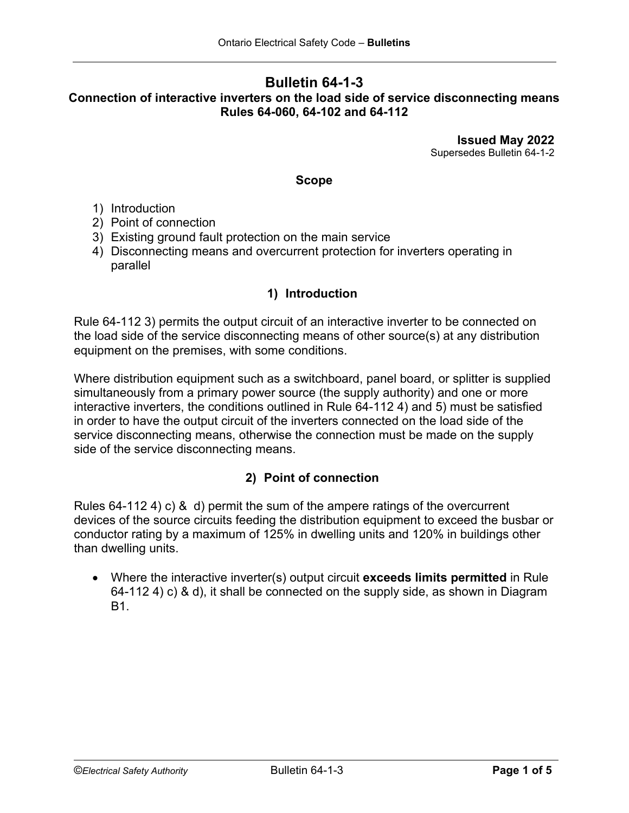## **Bulletin 64-1-3 Connection of interactive inverters on the load side of service disconnecting means Rules 64-060, 64-102 and 64-112**

**Issued May 2022** Supersedes Bulletin 64-1-2

### **Scope**

- 1) Introduction
- 2) Point of connection
- 3) Existing ground fault protection on the main service
- 4) Disconnecting means and overcurrent protection for inverters operating in parallel

## **1) Introduction**

Rule 64-112 3) permits the output circuit of an interactive inverter to be connected on the load side of the service disconnecting means of other source(s) at any distribution equipment on the premises, with some conditions.

Where distribution equipment such as a switchboard, panel board, or splitter is supplied simultaneously from a primary power source (the supply authority) and one or more interactive inverters, the conditions outlined in Rule 64-112 4) and 5) must be satisfied in order to have the output circuit of the inverters connected on the load side of the service disconnecting means, otherwise the connection must be made on the supply side of the service disconnecting means.

## **2) Point of connection**

Rules 64-112 4) c) & d) permit the sum of the ampere ratings of the overcurrent devices of the source circuits feeding the distribution equipment to exceed the busbar or conductor rating by a maximum of 125% in dwelling units and 120% in buildings other than dwelling units.

• Where the interactive inverter(s) output circuit **exceeds limits permitted** in Rule 64-112 4) c) & d), it shall be connected on the supply side, as shown in Diagram B1.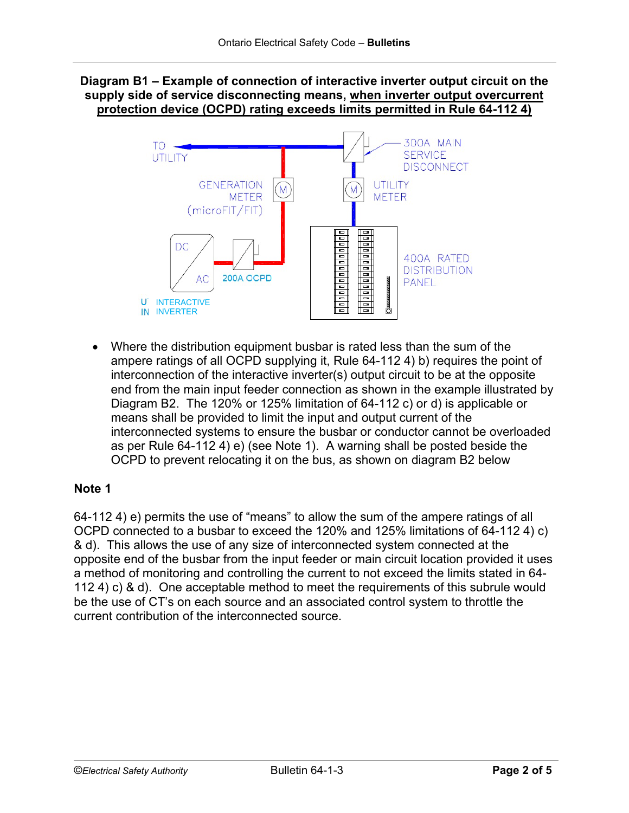## **Diagram B1 – Example of connection of interactive inverter output circuit on the supply side of service disconnecting means, when inverter output overcurrent protection device (OCPD) rating exceeds limits permitted in Rule 64-112 4)**



• Where the distribution equipment busbar is rated less than the sum of the ampere ratings of all OCPD supplying it, Rule 64-112 4) b) requires the point of interconnection of the interactive inverter(s) output circuit to be at the opposite end from the main input feeder connection as shown in the example illustrated by Diagram B2. The 120% or 125% limitation of 64-112 c) or d) is applicable or means shall be provided to limit the input and output current of the interconnected systems to ensure the busbar or conductor cannot be overloaded as per Rule 64-112 4) e) (see Note 1).A warning shall be posted beside the OCPD to prevent relocating it on the bus, as shown on diagram B2 below

## **Note 1**

64-112 4) e) permits the use of "means" to allow the sum of the ampere ratings of all OCPD connected to a busbar to exceed the 120% and 125% limitations of 64-112 4) c) & d). This allows the use of any size of interconnected system connected at the opposite end of the busbar from the input feeder or main circuit location provided it uses a method of monitoring and controlling the current to not exceed the limits stated in 64- 112 4) c) & d). One acceptable method to meet the requirements of this subrule would be the use of CT's on each source and an associated control system to throttle the current contribution of the interconnected source.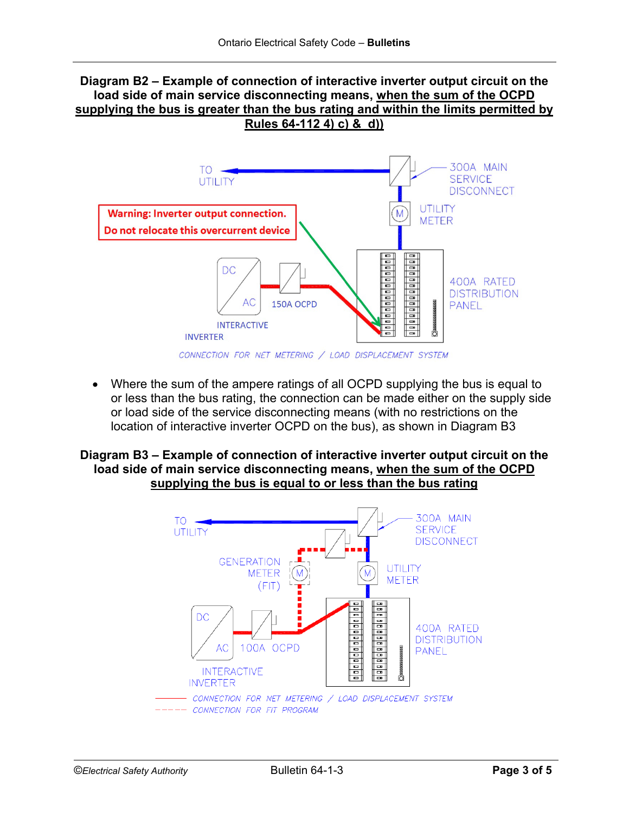### **Diagram B2 – Example of connection of interactive inverter output circuit on the load side of main service disconnecting means, when the sum of the OCPD supplying the bus is greater than the bus rating and within the limits permitted by Rules 64-112 4) c) & d))**



• Where the sum of the ampere ratings of all OCPD supplying the bus is equal to or less than the bus rating, the connection can be made either on the supply side or load side of the service disconnecting means (with no restrictions on the location of interactive inverter OCPD on the bus), as shown in Diagram B3

### **Diagram B3 – Example of connection of interactive inverter output circuit on the load side of main service disconnecting means, when the sum of the OCPD supplying the bus is equal to or less than the bus rating**

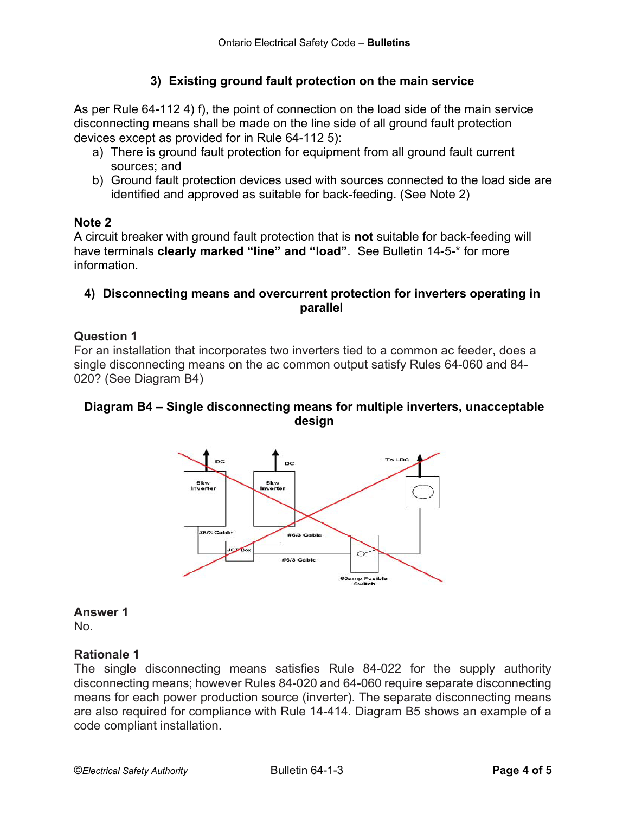# **3) Existing ground fault protection on the main service**

As per Rule 64-112 4) f), the point of connection on the load side of the main service disconnecting means shall be made on the line side of all ground fault protection devices except as provided for in Rule 64-112 5):

- a) There is ground fault protection for equipment from all ground fault current sources; and
- b) Ground fault protection devices used with sources connected to the load side are identified and approved as suitable for back-feeding. (See Note 2)

### **Note 2**

A circuit breaker with ground fault protection that is **not** suitable for back-feeding will have terminals **clearly marked "line" and "load"**. See Bulletin 14-5-\* for more information.

### **4) Disconnecting means and overcurrent protection for inverters operating in parallel**

### **Question 1**

For an installation that incorporates two inverters tied to a common ac feeder, does a single disconnecting means on the ac common output satisfy Rules 64-060 and 84- 020? (See Diagram B4)

## **Diagram B4 – Single disconnecting means for multiple inverters, unacceptable design**



#### **Answer 1**

No.

#### **Rationale 1**

The single disconnecting means satisfies Rule 84-022 for the supply authority disconnecting means; however Rules 84-020 and 64-060 require separate disconnecting means for each power production source (inverter). The separate disconnecting means are also required for compliance with Rule 14-414. Diagram B5 shows an example of a code compliant installation.